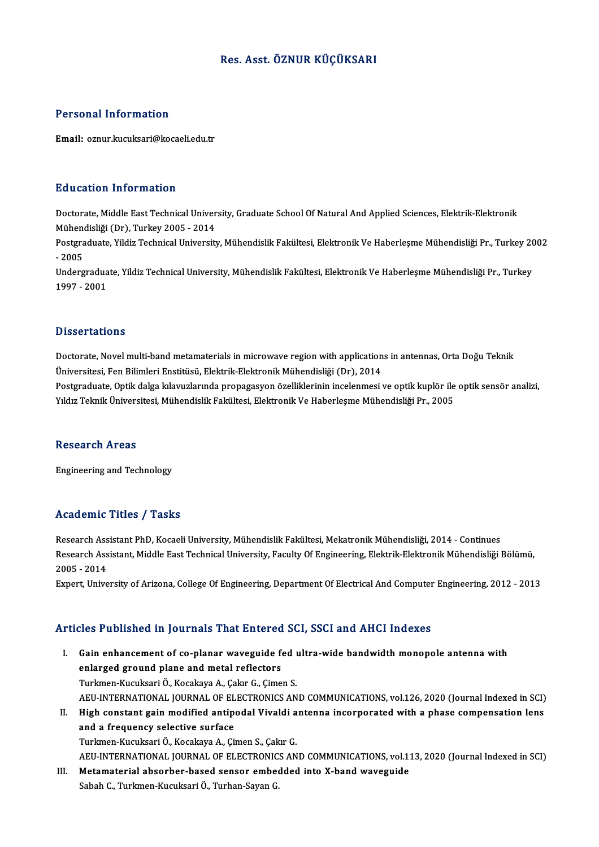## Res. Asst. ÖZNUR KÜÇÜKSARI

## Personal Information

Email: oznur.kucuksari@kocaeli.edu.tr

### Education Information

E**ducation Information**<br>Doctorate, Middle East Technical University, Graduate School Of Natural And Applied Sciences, Elektrik-Elektronik<br>Mühandisliği (Dr.), Turkey 2005 - 2014 Mühendisliği (Dr), Turkey<br>Mühendisliği (Dr), Turkey 2005 - 2014<br>Bestanaduate Vildiz Technical Universit Mühendisliği (Dr), Turkey 2005 - 2014

Postgraduate, Yildiz Technical University, Mühendislik Fakültesi, Elektronik Ve Haberleşme Mühendisliği Pr., Turkey 2002<br>- 2005 Postgraduate, Yildiz Technical University, Mühendislik Fakültesi, Elektronik Ve Haberleşme Mühendisliği Pr., Turkey 2(<br>- 2005<br>Undergraduate, Yildiz Technical University, Mühendislik Fakültesi, Elektronik Ve Haberleşme Mühe

- 2005<br>Undergradua<br>1997 - 2001 1997 - 2001<br>Dissertations

Dissertations<br>Doctorate, Novel multi-band metamaterials in microwave region with applications in antennas, Orta Doğu Teknik<br>Üniversitesi, Een Pilimleri Enstitiesi: Elektrik Elektronik Mühandieliği (Dn), 2014 Dissori tatronis<br>Doctorate, Novel multi-band metamaterials in microwave region with application<br>Üniversitesi, Fen Bilimleri Enstitüsü, Elektrik-Elektronik Mühendisliği (Dr), 2014<br>Postsraduate Ontik delse Inlevyslamade prop Doctorate, Novel multi-band metamaterials in microwave region with applications in antennas, Orta Doğu Teknik<br>Üniversitesi, Fen Bilimleri Enstitüsü, Elektrik-Elektronik Mühendisliği (Dr), 2014<br>Postgraduate, Optik dalga kıl

Üniversitesi, Fen Bilimleri Enstitüsü, Elektrik-Elektronik Mühendisliği (Dr), 2014<br>Postgraduate, Optik dalga kılavuzlarında propagasyon özelliklerinin incelenmesi ve optik kuplör ile optik sensör analizi,<br>Yıldız Teknik Üni

### **Research Areas**

Engineering and Technology

### Academic Titles / Tasks

Research Assistant PhD, Kocaeli University, Mühendislik Fakültesi, Mekatronik Mühendisliği, 2014 - Continues redu enne Trires 7 Tusne<br>Research Assistant PhD, Kocaeli University, Mühendislik Fakültesi, Mekatronik Mühendisliği, 2014 - Continues<br>Research Assistant, Middle East Technical University, Faculty Of Engineering, Elektrik-E Research Ass<br>Research Ass<br>2005 - 2014<br>Eunart Unive Research Assistant, Middle East Technical University, Faculty Of Engineering, Elektrik-Elektronik Mühendisliği Bölümü,<br>2005 - 2014<br>Expert, University of Arizona, College Of Engineering, Department Of Electrical And Compute

Expert, University of Arizona, College Of Engineering, Department Of Electrical And Computer Engineering, 2012 - 2013<br>Articles Published in Journals That Entered SCI, SSCI and AHCI Indexes

- rticles Published in Journals That Entered SCI, SSCI and AHCI Indexes<br>I. Gain enhancement of co-planar waveguide fed ultra-wide bandwidth monopole antenna with<br>enlareed ground plane and metal reflectors ence rubhoned in journals ride antered<br>Gain enhancement of co-planar waveguide for<br>enlarged ground plane and metal reflectors<br>Turkman Kuguksari Ö, Kosakaya A, Cakur C, Cime Gain enhancement of co-planar waveguide fed unitary enhancement of co-planar waveguide fed unitary<br>Turkmen-Kucuksari Ö., Kocakaya A., Çakır G., Çimen S.<br>AEU INTERNATIONAL JOURNAL OF ELECTRONICS AN enlarged ground plane and metal reflectors<br>Turkmen-Kucuksari Ö., Kocakaya A., Çakır G., Çimen S.<br>AEU-INTERNATIONAL JOURNAL OF ELECTRONICS AND COMMUNICATIONS, vol.126, 2020 (Journal Indexed in SCI)<br>High constant gain modifi Turkmen-Kucuksari Ö., Kocakaya A., Çakır G., Çimen S.<br>AEU-INTERNATIONAL JOURNAL OF ELECTRONICS AND COMMUNICATIONS, vol.126, 2020 (Journal Indexed in SCI)<br>II. High constant gain modified antipodal Vivaldi antenna incorp
- AEU-INTERNATIONAL JOURNAL OF EL<br>High constant gain modified antip<br>and a frequency selective surface<br>Turkman Kugukseri Ö, Kosakava A, Gü High constant gain modified antipodal Vivaldi a<br>and a frequency selective surface<br>Turkmen-Kucuksari Ö., Kocakaya A., Çimen S., Çakır G.<br>AEU INTERNATIONAL JOURNAL OF ELECTRONICS AN and a frequency selective surface<br>Turkmen-Kucuksari Ö., Kocakaya A., Çimen S., Çakır G.<br>AEU-INTERNATIONAL JOURNAL OF ELECTRONICS AND COMMUNICATIONS, vol.113, 2020 (Journal Indexed in SCI)

III. Metamaterial absorber-based sensor embedded into X-band waveguide

SabahC.,Turkmen-KucuksariÖ.,Turhan-SayanG.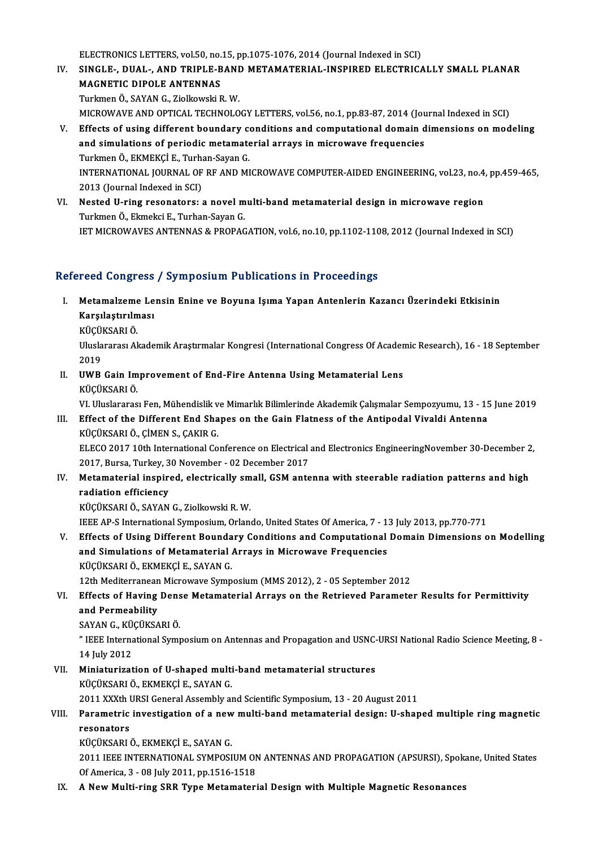ELECTRONICS LETTERS, vol.50, no.15, pp.1075-1076, 2014 (Journal Indexed in SCI)<br>SINCLE – DUAL – AND TRIBLE RAND METAMATERIAL INSPIRED ELECTRICA

- ELECTRONICS LETTERS, vol.50, no.15, pp.1075-1076, 2014 (Journal Indexed in SCI)<br>IV. SINGLE-, DUAL-, AND TRIPLE-BAND METAMATERIAL-INSPIRED ELECTRICALLY SMALL PLANAR ELECTRONICS LETTERS, vol.50, no.<br>SINGLE-, DUAL-, AND TRIPLE-B<br>MAGNETIC DIPOLE ANTENNAS<br>Turkmon Ö. SAVAN C. Zielkovski E SINGLE-, DUAL-, AND TRIPLE-BANI<br>MAGNETIC DIPOLE ANTENNAS<br>Turkmen Ö., SAYAN G., Ziolkowski R. W.<br>MICROWAVE AND OPTICAL TECHNOLO MAGNETIC DIPOLE ANTENNAS<br>Turkmen Ö., SAYAN G., Ziolkowski R. W.<br>MICROWAVE AND OPTICAL TECHNOLOGY LETTERS, vol.56, no.1, pp.83-87, 2014 (Journal Indexed in SCI)<br>Effects of using different boundary conditions and computation Turkmen Ö., SAYAN G., Ziolkowski R. W.<br>MICROWAVE AND OPTICAL TECHNOLOGY LETTERS, vol.56, no.1, pp.83-87, 2014 (Journal Indexed in SCI)<br>V. Effects of using different boundary conditions and computational domain dimensions o MICROWAVE AND OPTICAL TECHNOLOGY LETTERS, vol.56, no.1, pp.83-87, 2014 (Journal of periodic metamaterial arrays in microwave frequencies<br>and simulations of periodic metamaterial arrays in microwave frequencies<br>Turkmon Ö, E
- and simulations of periodic metamaterial arrays in microwave frequencies<br>Turkmen Ö., EKMEKÇİ E., Turhan-Sayan G. and simulations of periodic metamaterial arrays in microwave frequencies<br>Turkmen Ö., EKMEKÇİ E., Turhan-Sayan G.<br>INTERNATIONAL JOURNAL OF RF AND MICROWAVE COMPUTER-AIDED ENGINEERING, vol.23, no.4, pp.459-465,<br>2012 (Journal Turkmen Ö., EKMEKÇİ E., Turha<br>INTERNATIONAL JOURNAL OF<br>2013 (Journal Indexed in SCI)<br>Nested II ring resenators: INTERNATIONAL JOURNAL OF RF AND MICROWAVE COMPUTER-AIDED ENGINEERING, vol.23, no.4<br>2013 (Journal Indexed in SCI)<br>VI. Nested U-ring resonators: a novel multi-band metamaterial design in microwave region<br>Turkman Ö. Elmeksi E
- 2013 (Journal Indexed in SCI)<br>Nested U-ring resonators: a novel m<br>Turkmen Ö., Ekmekci E., Turhan-Sayan G.<br>JET MICROWAVES ANTENNAS & PROPAC Nested U-ring resonators: a novel multi-band metamaterial design in microwave region<br>Turkmen Ö., Ekmekci E., Turhan-Sayan G.<br>IET MICROWAVES ANTENNAS & PROPAGATION, vol.6, no.10, pp.1102-1108, 2012 (Journal Indexed in SCI) IET MICROWAVES ANTENNAS & PROPAGATION, vol.6, no.10, pp.1102-1108, 2012 (Journal Indexed in SCI)<br>Refereed Congress / Symposium Publications in Proceedings

- efereed Congress / Symposium Publications in Proceedings<br>I. Metamalzeme Lensin Enine ve Boyuna Işıma Yapan Antenlerin Kazancı Üzerindeki Etkisinin<br>Karalastırılması recu congress<br>Metamalzeme Le<br>Karşılaştırılması<br>VücüvsAPI Ö Metamalzeme<br>Karşılaştırılm<br>KÜÇÜKSARI Ö.<br>Uluslararası Al
	- KÜÇÜKSARI Ö.

Karşılaştırılması<br>KÜÇÜKSARI Ö.<br>Uluslararası Akademik Araştırmalar Kongresi (International Congress Of Academic Research), 16 - 18 September<br>2019 Uluslararası Akademik Araştırmalar Kongresi (International Congress Of Acader<br>2019<br>II. UWB Gain Improvement of End-Fire Antenna Using Metamaterial Lens<br>KÜÇÜKSAPI Ö

2019<br><mark>UWB Gain Im</mark><br>KÜÇÜKSARI Ö.<br><sup>VI Huclararas</mark></sup>

KÜÇÜKSARI Ö.<br>VI. Uluslararası Fen, Mühendislik ve Mimarlık Bilimlerinde Akademik Çalışmalar Sempozyumu, 13 - 15 June 2019

# KÜÇÜKSARI Ö.<br>13 - VI. Uluslararası Fen, Mühendislik ve Mimarlık Bilimlerinde Akademik Çalışmalar Sempozyumu, 13<br>11. Effect of the Different End Shapes on the Gain Flatness of the Antipodal Vivaldi Antenna<br>11. Effec VI. Uluslararası Fen, Mühendislik v<br>Effect of the Different End Sha<br>KÜÇÜKSARI Ö., ÇİMEN S., ÇAKIR G.<br>ELECO 2017 10th International Co Effect of the Different End Shapes on the Gain Flatness of the Antipodal Vivaldi Antenna<br>KÜÇÜKSARI Ö., ÇİMEN S., ÇAKIR G.<br>ELECO 2017 10th International Conference on Electrical and Electronics EngineeringNovember 30-Decemb

KÜÇÜKSARI Ö., ÇİMEN S., ÇAKIR G.<br>ELECO 2017 10th International Conference on Electrical<br>2017, Bursa, Turkey, 30 November - 02 December 2017<br>Metamatarial inspired, electrically small, CSM ante ELECO 2017 10th International Conference on Electrical and Electronics EngineeringNovember 30-December 2<br>2017, Bursa, Turkey, 30 November - 02 December 2017<br>IV. Metamaterial inspired, electrically small, GSM antenna with s

2017, Bursa, Turkey, 3<br>Metamaterial inspire<br>radiation efficiency<br>*v*ücüvs ABI Ö, SAVAN Metamaterial inspired, electrically sm<br>radiation efficiency<br>KÜÇÜKSARI Ö., SAYAN G., Ziolkowski R. W.<br>IEEE AP S International Sumnesium Orlan radiation efficiency<br>IEEE AP-S International Symposium, Orlando, United States Of America, 7 - 13 July 2013, pp.770-771<br>IEEE AP-S International Symposium, Orlando, United States Of America, 7 - 13 July 2013, pp.770-771

V. Effects of Using Different Boundary Conditions and Computational Domain Dimensions on Modelling IEEE AP-S International Symposium, Orlando, United States Of America, 7 - 1<br>Effects of Using Different Boundary Conditions and Computational<br>and Simulations of Metamaterial Arrays in Microwave Frequencies<br>VÜCÜVSADI Ö, EVME Effects of Using Different Bounda<br>and Simulations of Metamaterial<br>KÜÇÜKSARI Ö., EKMEKÇİ E., SAYAN G.<br>12th Mediterranean Microwaye Symn and Simulations of Metamaterial Arrays in Microwave Frequencies<br>KÜÇÜKSARI Ö., EKMEKÇİ E., SAYAN G.<br>12th Mediterranean Microwave Symposium (MMS 2012), 2 - 05 September 2012<br>Effects of Having Danse Metamaterial Arrays on the KÜÇÜKSARI Ö., EKMEKÇİ E., SAYAN G.<br>12th Mediterranean Microwave Symposium (MMS 2012), 2 - 05 September 2012<br>12th Mediterranean Microwave Symposium (MMS 2012), 2 - 05 September 2012

## and Permeability Effects of Having Dens<br>and Permeability<br>SAYAN G., KÜÇÜKSARI Ö.<br>" <sup>IEEE</sup> International Sumi

" IEEE International Symposium on Antennas and Propagation and USNC-URSI National Radio Science Meeting, 8 -<br>14 July 2012 SAYAN G., KÜ<br>" IEEE Interna<br>14 July 2012<br>Miniaturizat <sup>"</sup> IEEE International Symposium on Antennas and Propagation and USNC-<br>14 July 2012<br>VII. Miniaturization of U-shaped multi-band metamaterial structures<br>VICUVSARLO EVMEVCLE SAVANC

14 July 2012<br>Miniaturization of U-shaped multi<br>KÜÇÜKSARI Ö., EKMEKÇİ E., SAYAN G.<br>2011 YYYth UPSI Conoral Assembly ol Miniaturization of U-shaped multi-band metamaterial structures<br>KÜÇÜKSARI Ö., EKMEKÇİ E., SAYAN G.<br>2011 XXXth URSI General Assembly and Scientific Symposium, 13 - 20 August 2011<br>Peremetris investigation of a new multi-band

# KÜÇÜKSARI Ö., EKMEKÇİ E., SAYAN G.<br>2011 XXXth URSI General Assembly and Scientific Symposium, 13 - 20 August 2011<br>VIII. Parametric investigation of a new multi-band metamaterial design: U-shaped multiple ring magnetic<br> 2011 XXXth I<br>Parametric<br>resonators<br>vücüvsABL Parametric investigation of a new<br>resonators<br>KÜÇÜKSARI Ö., EKMEKÇİ E., SAYAN G.<br>2011 JEEE INTERNATIONAL SYMPOSI

resonators<br>KÜÇÜKSARI Ö., EKMEKÇİ E., SAYAN G.<br>2011 IEEE INTERNATIONAL SYMPOSIUM ON ANTENNAS AND PROPAGATION (APSURSI), Spokane, United States<br>Of America 3 - 08 July 2011 pp.1516-1519 KÜÇÜKSARI Ö., EKMEKÇİ E., SAYAN G.<br>2011 IEEE INTERNATIONAL SYMPOSIUM ON<br>Of America, 3 - 08 July 2011, pp.1516-1518<br>A Naw Multi ring SPB Tune Metemateri 2011 IEEE INTERNATIONAL SYMPOSIUM ON ANTENNAS AND PROPAGATION (APSURSI), Spoketic Afternica, 3 - 08 July 2011, pp.1516-1518<br>IX. A New Multi-ring SRR Type Metamaterial Design with Multiple Magnetic Resonances